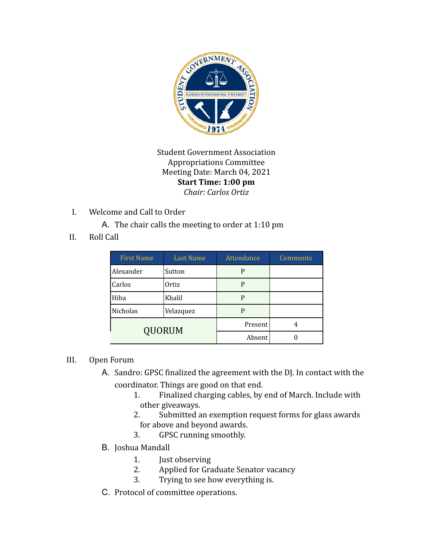

Student Government Association Appropriations Committee Meeting Date: March 04, 2021 **Start Time: 1:00 pm** *Chair: Carlos Ortiz*

I. Welcome and Call to Order

A. The chair calls the meeting to order at 1:10 pm

II. Roll Call

| <b>First Name</b> | <b>Last Name</b> | Attendance | Comments |
|-------------------|------------------|------------|----------|
| Alexander         | Sutton           | P          |          |
| Carlos            | Ortiz            | P          |          |
| Hiba              | Khalil           | P          |          |
| Nicholas          | Velazquez        | P          |          |
| <b>QUORUM</b>     |                  | Present    |          |
|                   |                  | Absent     |          |

## III. Open Forum

- A. Sandro: GPSC finalized the agreement with the DJ. In contact with the coordinator. Things are good on that end.
	- 1. Finalized charging cables, by end of March. Include with other giveaways.
	- 2. Submitted an exemption request forms for glass awards for above and beyond awards.
	- 3. GPSC running smoothly.
- B. Joshua Mandall
	- 1. Just observing
	- 2. Applied for Graduate Senator vacancy
	- 3. Trying to see how everything is.
- C. Protocol of committee operations.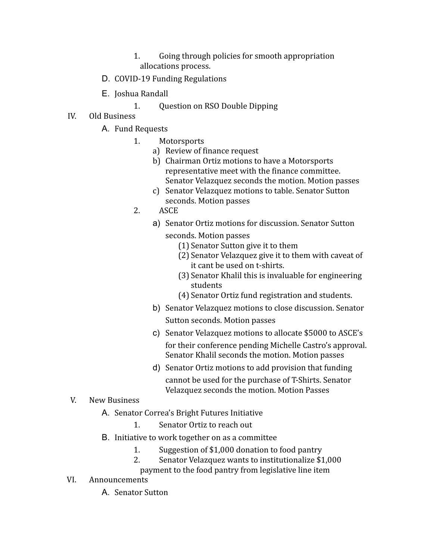- 1. Going through policies for smooth appropriation allocations process.
- D. COVID-19 Funding Regulations
- E. Joshua Randall
	- 1. Question on RSO Double Dipping
- IV. Old Business
	- A. Fund Requests
		- 1. Motorsports
			- a) Review of finance request
			- b) Chairman Ortiz motions to have a Motorsports representative meet with the finance committee. Senator Velazquez seconds the motion. Motion passes
			- c) Senator Velazquez motions to table. Senator Sutton seconds. Motion passes
		- 2. ASCE
			- a) Senator Ortiz motions for discussion. Senator Sutton seconds. Motion passes
				- (1) Senator Sutton give it to them
				- (2) Senator Velazquez give it to them with caveat of it cant be used on t-shirts.
				- (3) Senator Khalil this is invaluable for engineering students
				- (4) Senator Ortiz fund registration and students.
			- b) Senator Velazquez motions to close discussion. Senator Sutton seconds. Motion passes
			- c) Senator Velazquez motions to allocate \$5000 to ASCE's for their conference pending Michelle Castro's approval. Senator Khalil seconds the motion. Motion passes
			- d) Senator Ortiz motions to add provision that funding cannot be used for the purchase of T-Shirts. Senator Velazquez seconds the motion. Motion Passes
- V. New Business
	- A. Senator Correa's Bright Futures Initiative
		- 1. Senator Ortiz to reach out
	- B. Initiative to work together on as a committee
		- 1. Suggestion of \$1,000 donation to food pantry
		- 2. Senator Velazquez wants to institutionalize \$1,000
			- payment to the food pantry from legislative line item
- VI. Announcements
	- A. Senator Sutton